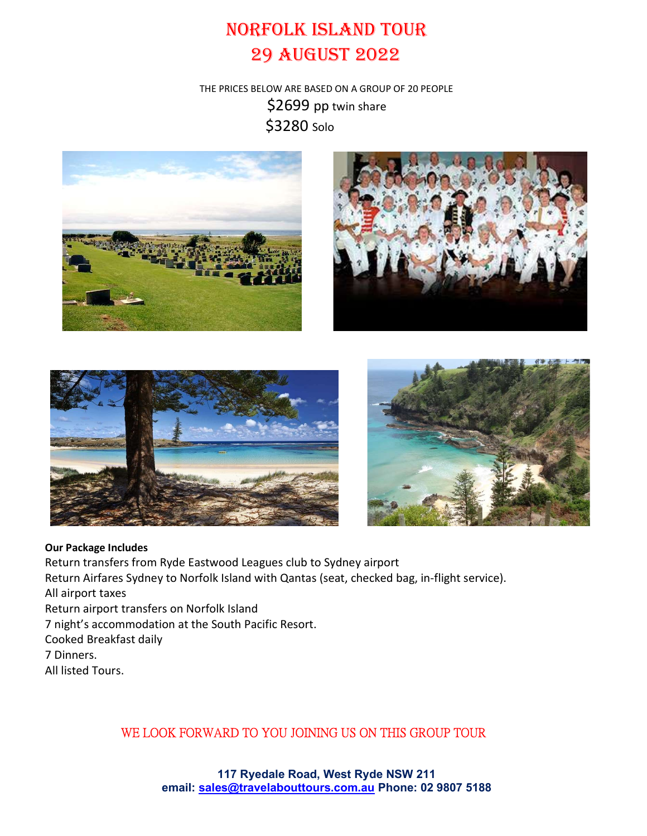## NORFOLK ISLAND TOUR 29 AUGUST 2022

THE PRICES BELOW ARE BASED ON A GROUP OF 20 PEOPLE \$2699 pp twin share \$3280 Solo









## Our Package Includes

Return transfers from Ryde Eastwood Leagues club to Sydney airport Return Airfares Sydney to Norfolk Island with Qantas (seat, checked bag, in-flight service). All airport taxes Return airport transfers on Norfolk Island 7 night's accommodation at the South Pacific Resort. Cooked Breakfast daily 7 Dinners. All listed Tours.

## WE LOOK FORWARD TO YOU JOINING US ON THIS GROUP TOUR

117 Ryedale Road, West Ryde NSW 211 email: sales@travelabouttours.com.au Phone: 02 9807 5188